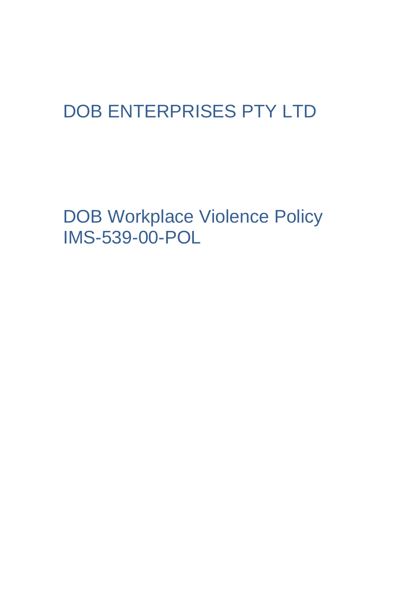## DOB ENTERPRISES PTY LTD

DOB Workplace Violence Policy IMS-539-00-POL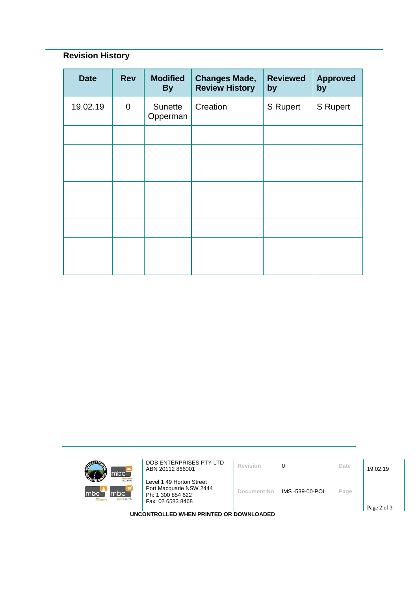## **Revision History**

| <b>Date</b> | <b>Rev</b>     | <b>Modified</b><br><b>By</b> | <b>Changes Made,</b><br><b>Review History</b> | <b>Reviewed</b><br>by | <b>Approved</b><br>by |
|-------------|----------------|------------------------------|-----------------------------------------------|-----------------------|-----------------------|
| 19.02.19    | $\overline{0}$ | Sunette<br>Opperman          | Creation                                      | S Rupert              | S Rupert              |
|             |                |                              |                                               |                       |                       |
|             |                |                              |                                               |                       |                       |
|             |                |                              |                                               |                       |                       |
|             |                |                              |                                               |                       |                       |
|             |                |                              |                                               |                       |                       |
|             |                |                              |                                               |                       |                       |
|             |                |                              |                                               |                       |                       |
|             |                |                              |                                               |                       |                       |

| mbc <sup>-</sup>                                            | DOB ENTERPRISES PTY LTD<br>ABN 20112 866001                                                   | Revision    | 0               | Date | 19.02.19 |  |  |  |
|-------------------------------------------------------------|-----------------------------------------------------------------------------------------------|-------------|-----------------|------|----------|--|--|--|
| <b>Informer Neg</b><br>mbc`<br>mbc<br>mle<br>sursing agency | Level 1 49 Horton Street<br>Port Macquarie NSW 2444<br>Ph: 1 300 854 622<br>Fax: 02 6583 8468 | Document No | IMS -539-00-POL | Page |          |  |  |  |
| Page 2 of 3<br>UNCONTROLLED WHEN PRINTED OR DOWNLOADED      |                                                                                               |             |                 |      |          |  |  |  |